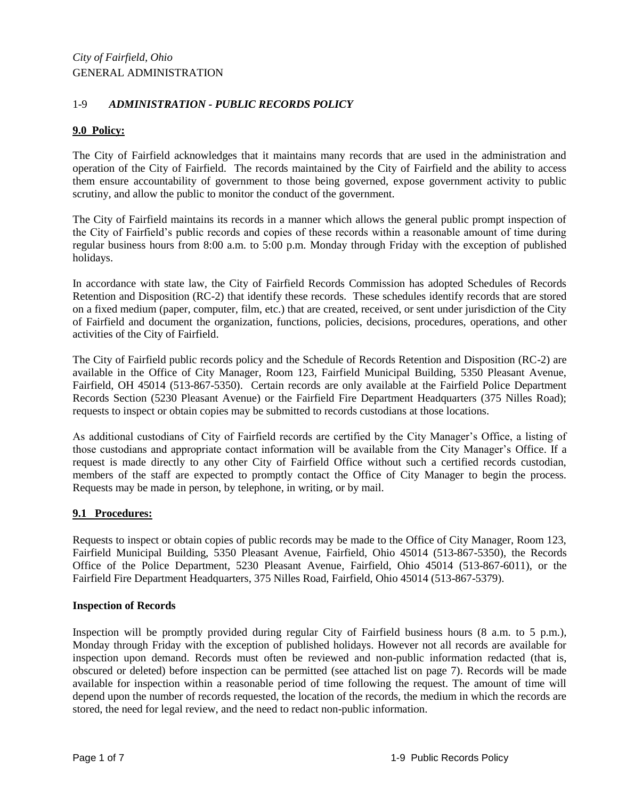# 1-9 *ADMINISTRATION - PUBLIC RECORDS POLICY*

# **9.0 Policy:**

The City of Fairfield acknowledges that it maintains many records that are used in the administration and operation of the City of Fairfield. The records maintained by the City of Fairfield and the ability to access them ensure accountability of government to those being governed, expose government activity to public scrutiny, and allow the public to monitor the conduct of the government.

The City of Fairfield maintains its records in a manner which allows the general public prompt inspection of the City of Fairfield's public records and copies of these records within a reasonable amount of time during regular business hours from 8:00 a.m. to 5:00 p.m. Monday through Friday with the exception of published holidays.

In accordance with state law, the City of Fairfield Records Commission has adopted Schedules of Records Retention and Disposition (RC-2) that identify these records. These schedules identify records that are stored on a fixed medium (paper, computer, film, etc.) that are created, received, or sent under jurisdiction of the City of Fairfield and document the organization, functions, policies, decisions, procedures, operations, and other activities of the City of Fairfield.

The City of Fairfield public records policy and the Schedule of Records Retention and Disposition (RC-2) are available in the Office of City Manager, Room 123, Fairfield Municipal Building, 5350 Pleasant Avenue, Fairfield, OH 45014 (513-867-5350). Certain records are only available at the Fairfield Police Department Records Section (5230 Pleasant Avenue) or the Fairfield Fire Department Headquarters (375 Nilles Road); requests to inspect or obtain copies may be submitted to records custodians at those locations.

As additional custodians of City of Fairfield records are certified by the City Manager's Office, a listing of those custodians and appropriate contact information will be available from the City Manager's Office. If a request is made directly to any other City of Fairfield Office without such a certified records custodian, members of the staff are expected to promptly contact the Office of City Manager to begin the process. Requests may be made in person, by telephone, in writing, or by mail.

### **9.1 Procedures:**

Requests to inspect or obtain copies of public records may be made to the Office of City Manager, Room 123, Fairfield Municipal Building, 5350 Pleasant Avenue, Fairfield, Ohio 45014 (513-867-5350), the Records Office of the Police Department, 5230 Pleasant Avenue, Fairfield, Ohio 45014 (513-867-6011), or the Fairfield Fire Department Headquarters, 375 Nilles Road, Fairfield, Ohio 45014 (513-867-5379).

#### **Inspection of Records**

Inspection will be promptly provided during regular City of Fairfield business hours (8 a.m. to 5 p.m.), Monday through Friday with the exception of published holidays. However not all records are available for inspection upon demand. Records must often be reviewed and non-public information redacted (that is, obscured or deleted) before inspection can be permitted (see attached list on page 7). Records will be made available for inspection within a reasonable period of time following the request. The amount of time will depend upon the number of records requested, the location of the records, the medium in which the records are stored, the need for legal review, and the need to redact non-public information.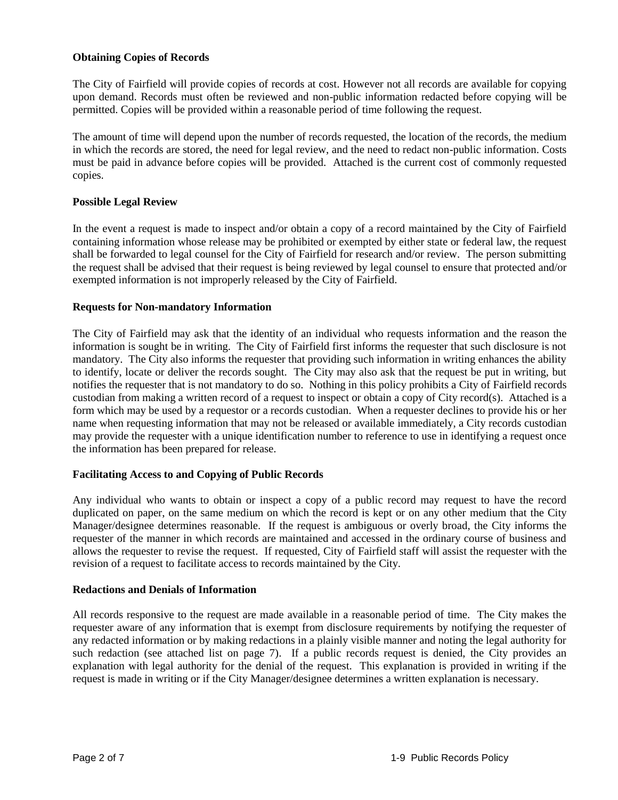#### **Obtaining Copies of Records**

The City of Fairfield will provide copies of records at cost. However not all records are available for copying upon demand. Records must often be reviewed and non-public information redacted before copying will be permitted. Copies will be provided within a reasonable period of time following the request.

The amount of time will depend upon the number of records requested, the location of the records, the medium in which the records are stored, the need for legal review, and the need to redact non-public information. Costs must be paid in advance before copies will be provided. Attached is the current cost of commonly requested copies.

#### **Possible Legal Review**

In the event a request is made to inspect and/or obtain a copy of a record maintained by the City of Fairfield containing information whose release may be prohibited or exempted by either state or federal law, the request shall be forwarded to legal counsel for the City of Fairfield for research and/or review. The person submitting the request shall be advised that their request is being reviewed by legal counsel to ensure that protected and/or exempted information is not improperly released by the City of Fairfield.

#### **Requests for Non-mandatory Information**

The City of Fairfield may ask that the identity of an individual who requests information and the reason the information is sought be in writing. The City of Fairfield first informs the requester that such disclosure is not mandatory. The City also informs the requester that providing such information in writing enhances the ability to identify, locate or deliver the records sought. The City may also ask that the request be put in writing, but notifies the requester that is not mandatory to do so. Nothing in this policy prohibits a City of Fairfield records custodian from making a written record of a request to inspect or obtain a copy of City record(s). Attached is a form which may be used by a requestor or a records custodian. When a requester declines to provide his or her name when requesting information that may not be released or available immediately, a City records custodian may provide the requester with a unique identification number to reference to use in identifying a request once the information has been prepared for release.

#### **Facilitating Access to and Copying of Public Records**

Any individual who wants to obtain or inspect a copy of a public record may request to have the record duplicated on paper, on the same medium on which the record is kept or on any other medium that the City Manager/designee determines reasonable. If the request is ambiguous or overly broad, the City informs the requester of the manner in which records are maintained and accessed in the ordinary course of business and allows the requester to revise the request. If requested, City of Fairfield staff will assist the requester with the revision of a request to facilitate access to records maintained by the City.

#### **Redactions and Denials of Information**

All records responsive to the request are made available in a reasonable period of time. The City makes the requester aware of any information that is exempt from disclosure requirements by notifying the requester of any redacted information or by making redactions in a plainly visible manner and noting the legal authority for such redaction (see attached list on page 7). If a public records request is denied, the City provides an explanation with legal authority for the denial of the request. This explanation is provided in writing if the request is made in writing or if the City Manager/designee determines a written explanation is necessary.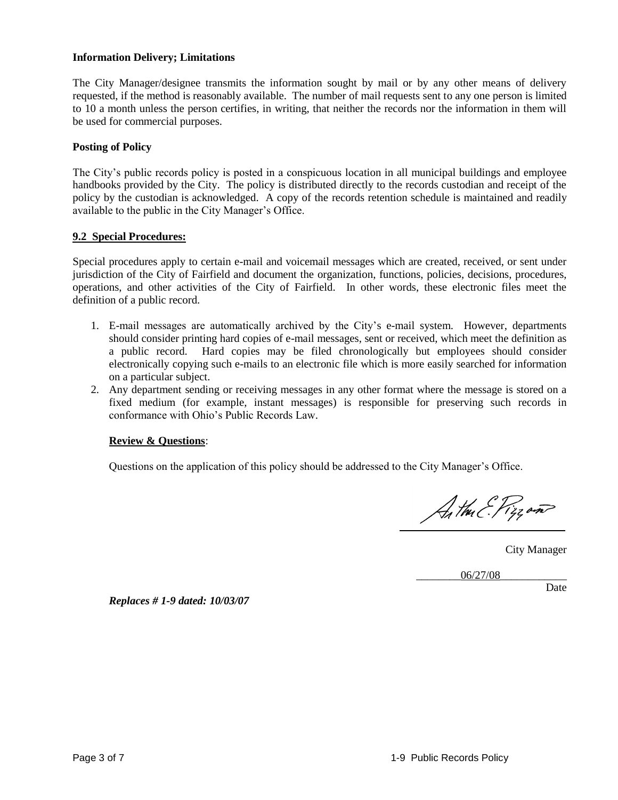#### **Information Delivery; Limitations**

The City Manager/designee transmits the information sought by mail or by any other means of delivery requested, if the method is reasonably available. The number of mail requests sent to any one person is limited to 10 a month unless the person certifies, in writing, that neither the records nor the information in them will be used for commercial purposes.

#### **Posting of Policy**

The City's public records policy is posted in a conspicuous location in all municipal buildings and employee handbooks provided by the City. The policy is distributed directly to the records custodian and receipt of the policy by the custodian is acknowledged. A copy of the records retention schedule is maintained and readily available to the public in the City Manager's Office.

#### **9.2 Special Procedures:**

Special procedures apply to certain e-mail and voicemail messages which are created, received, or sent under jurisdiction of the City of Fairfield and document the organization, functions, policies, decisions, procedures, operations, and other activities of the City of Fairfield. In other words, these electronic files meet the definition of a public record.

- 1. E-mail messages are automatically archived by the City's e-mail system. However, departments should consider printing hard copies of e-mail messages, sent or received, which meet the definition as a public record. Hard copies may be filed chronologically but employees should consider electronically copying such e-mails to an electronic file which is more easily searched for information on a particular subject.
- 2. Any department sending or receiving messages in any other format where the message is stored on a fixed medium (for example, instant messages) is responsible for preserving such records in conformance with Ohio's Public Records Law.

#### **Review & Questions**:

Questions on the application of this policy should be addressed to the City Manager's Office.

Anthu E. Pizzon

City Manager

\_\_\_\_\_\_\_\_06/27/08\_\_\_\_\_\_\_\_\_\_\_\_

Date

*Replaces # 1-9 dated: 10/03/07*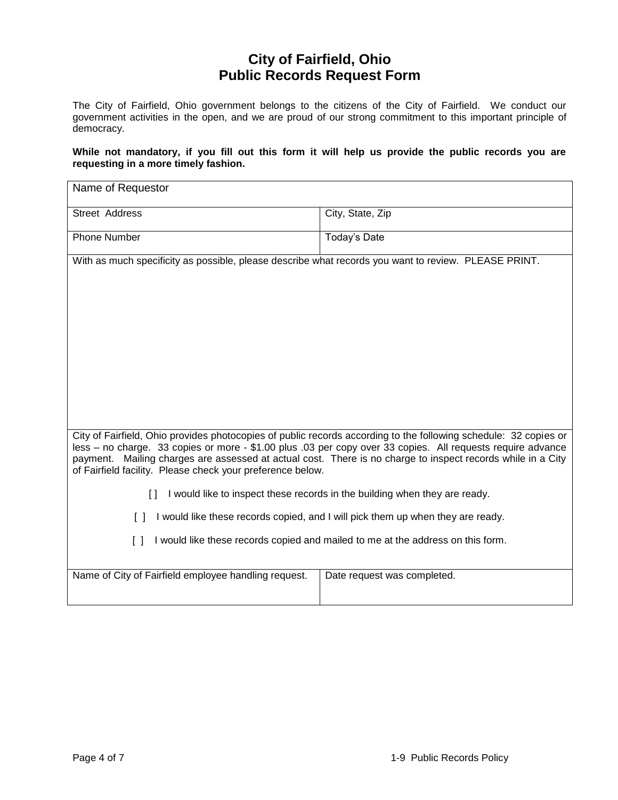# **City of Fairfield, Ohio Public Records Request Form**

The City of Fairfield, Ohio government belongs to the citizens of the City of Fairfield. We conduct our government activities in the open, and we are proud of our strong commitment to this important principle of democracy.

#### **While not mandatory, if you fill out this form it will help us provide the public records you are requesting in a more timely fashion.**

| Name of Requestor                                                                                                                                                                                                                                                                                                                                                                                            |                             |  |
|--------------------------------------------------------------------------------------------------------------------------------------------------------------------------------------------------------------------------------------------------------------------------------------------------------------------------------------------------------------------------------------------------------------|-----------------------------|--|
| Street Address                                                                                                                                                                                                                                                                                                                                                                                               | City, State, Zip            |  |
| <b>Phone Number</b>                                                                                                                                                                                                                                                                                                                                                                                          | Today's Date                |  |
| With as much specificity as possible, please describe what records you want to review. PLEASE PRINT.                                                                                                                                                                                                                                                                                                         |                             |  |
|                                                                                                                                                                                                                                                                                                                                                                                                              |                             |  |
|                                                                                                                                                                                                                                                                                                                                                                                                              |                             |  |
|                                                                                                                                                                                                                                                                                                                                                                                                              |                             |  |
|                                                                                                                                                                                                                                                                                                                                                                                                              |                             |  |
|                                                                                                                                                                                                                                                                                                                                                                                                              |                             |  |
|                                                                                                                                                                                                                                                                                                                                                                                                              |                             |  |
|                                                                                                                                                                                                                                                                                                                                                                                                              |                             |  |
| City of Fairfield, Ohio provides photocopies of public records according to the following schedule: 32 copies or<br>less - no charge. 33 copies or more - \$1.00 plus .03 per copy over 33 copies. All requests require advance<br>payment. Mailing charges are assessed at actual cost. There is no charge to inspect records while in a City<br>of Fairfield facility. Please check your preference below. |                             |  |
| I would like to inspect these records in the building when they are ready.<br>$\lceil$ $\rceil$                                                                                                                                                                                                                                                                                                              |                             |  |
| I would like these records copied, and I will pick them up when they are ready.<br>$\Box$                                                                                                                                                                                                                                                                                                                    |                             |  |
| I would like these records copied and mailed to me at the address on this form.<br>Ιl                                                                                                                                                                                                                                                                                                                        |                             |  |
| Name of City of Fairfield employee handling request.                                                                                                                                                                                                                                                                                                                                                         | Date request was completed. |  |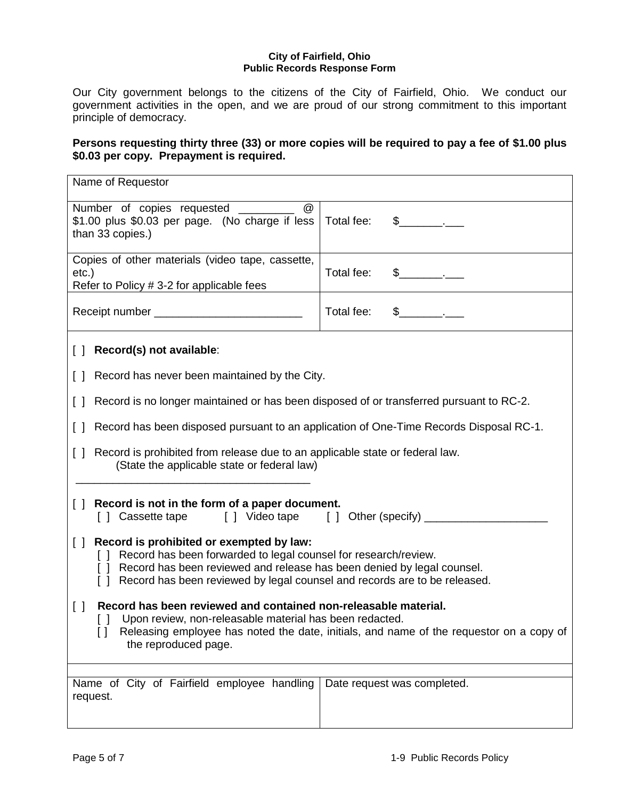#### **City of Fairfield, Ohio Public Records Response Form**

Our City government belongs to the citizens of the City of Fairfield, Ohio. We conduct our government activities in the open, and we are proud of our strong commitment to this important principle of democracy.

# **Persons requesting thirty three (33) or more copies will be required to pay a fee of \$1.00 plus \$0.03 per copy. Prepayment is required.**

| Name of Requestor                                                                                                                                                                                                                                                                |                             |  |
|----------------------------------------------------------------------------------------------------------------------------------------------------------------------------------------------------------------------------------------------------------------------------------|-----------------------------|--|
| Number of copies requested _________<br>$^{\textregistered}$<br>\$1.00 plus \$0.03 per page. (No charge if less<br>than 33 copies.)                                                                                                                                              | Total fee:<br>$\sim$ $\sim$ |  |
| Copies of other materials (video tape, cassette,<br>etc.)<br>Refer to Policy # 3-2 for applicable fees                                                                                                                                                                           | Total fee:<br>$\sim$ $\sim$ |  |
|                                                                                                                                                                                                                                                                                  | Total fee:<br>$\sim$ $\sim$ |  |
| [ ] Record(s) not available:                                                                                                                                                                                                                                                     |                             |  |
| [] Record has never been maintained by the City.                                                                                                                                                                                                                                 |                             |  |
| [ ] Record is no longer maintained or has been disposed of or transferred pursuant to RC-2.                                                                                                                                                                                      |                             |  |
| Record has been disposed pursuant to an application of One-Time Records Disposal RC-1.<br>$\Box$                                                                                                                                                                                 |                             |  |
| Record is prohibited from release due to an applicable state or federal law.<br>$\Box$<br>(State the applicable state or federal law)                                                                                                                                            |                             |  |
| Record is not in the form of a paper document.<br>$\Box$<br>[] Cassette tape [] Video tape [] Other (specify) ________                                                                                                                                                           |                             |  |
| [] Record is prohibited or exempted by law:<br>[] Record has been forwarded to legal counsel for research/review.<br>[ ] Record has been reviewed and release has been denied by legal counsel.<br>[ ] Record has been reviewed by legal counsel and records are to be released. |                             |  |
| Record has been reviewed and contained non-releasable material.<br>$\Box$<br>Upon review, non-releasable material has been redacted.<br>$\Box$<br>Releasing employee has noted the date, initials, and name of the requestor on a copy of<br>the reproduced page.                |                             |  |
| Name of City of Fairfield employee handling<br>request.                                                                                                                                                                                                                          | Date request was completed. |  |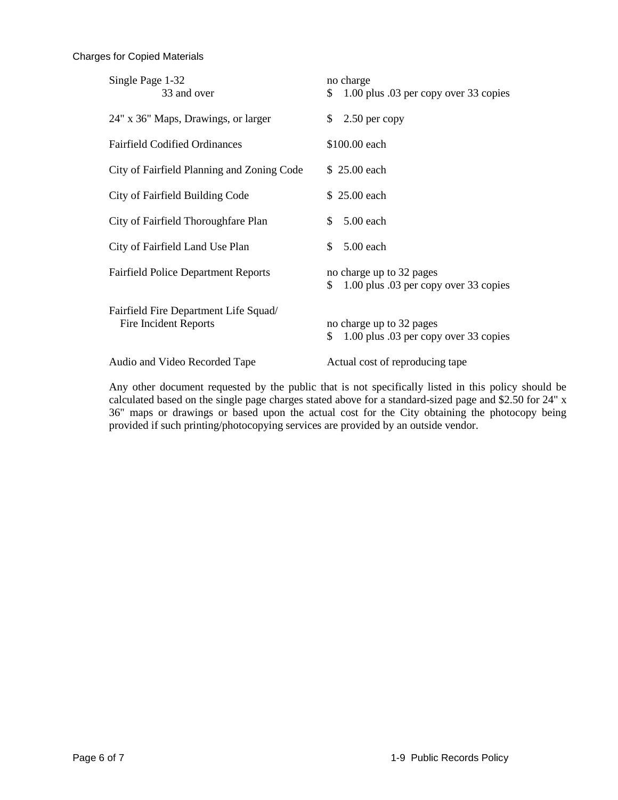#### Charges for Copied Materials

| Single Page 1-32<br>33 and over                                | no charge<br>1.00 plus .03 per copy over 33 copies<br>S.                |
|----------------------------------------------------------------|-------------------------------------------------------------------------|
| 24" x 36" Maps, Drawings, or larger                            | \$<br>$2.50$ per copy                                                   |
| <b>Fairfield Codified Ordinances</b>                           | \$100.00 each                                                           |
| City of Fairfield Planning and Zoning Code                     | \$25.00 each                                                            |
| City of Fairfield Building Code                                | \$25.00 each                                                            |
| City of Fairfield Thoroughfare Plan                            | \$<br>5.00 each                                                         |
| City of Fairfield Land Use Plan                                | \$<br>5.00 each                                                         |
| <b>Fairfield Police Department Reports</b>                     | no charge up to 32 pages<br>\$<br>1.00 plus .03 per copy over 33 copies |
| Fairfield Fire Department Life Squad/<br>Fire Incident Reports | no charge up to 32 pages<br>\$<br>1.00 plus .03 per copy over 33 copies |
| Audio and Video Recorded Tape                                  | Actual cost of reproducing tape                                         |

Any other document requested by the public that is not specifically listed in this policy should be calculated based on the single page charges stated above for a standard-sized page and \$2.50 for 24" x 36" maps or drawings or based upon the actual cost for the City obtaining the photocopy being provided if such printing/photocopying services are provided by an outside vendor.